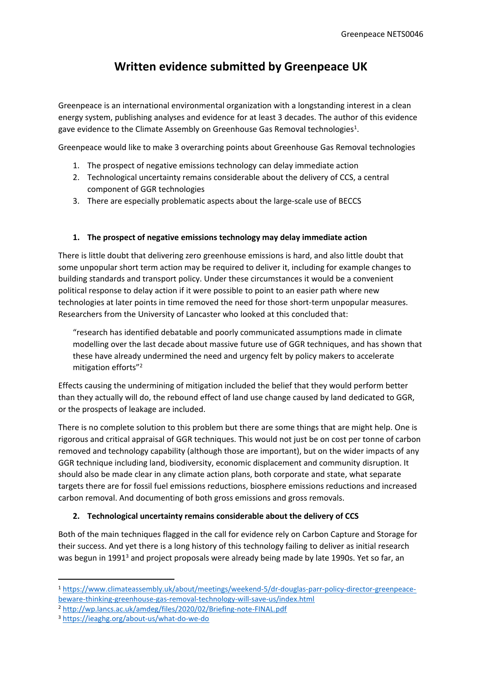## **Written evidence submitted by Greenpeace UK**

Greenpeace is an international environmental organization with a longstanding interest in a clean energy system, publishing analyses and evidence for at least 3 decades. The author of this evidence gave evidence to the Climate Assembly on Greenhouse Gas Removal technologies<sup>1</sup>.

Greenpeace would like to make 3 overarching points about Greenhouse Gas Removal technologies

- 1. The prospect of negative emissions technology can delay immediate action
- 2. Technological uncertainty remains considerable about the delivery of CCS, a central component of GGR technologies
- 3. There are especially problematic aspects about the large-scale use of BECCS

## **1. The prospect of negative emissions technology may delay immediate action**

There is little doubt that delivering zero greenhouse emissions is hard, and also little doubt that some unpopular short term action may be required to deliver it, including for example changes to building standards and transport policy. Under these circumstances it would be a convenient political response to delay action if it were possible to point to an easier path where new technologies at later points in time removed the need for those short-term unpopular measures. Researchers from the University of Lancaster who looked at this concluded that:

"research has identified debatable and poorly communicated assumptions made in climate modelling over the last decade about massive future use of GGR techniques, and has shown that these have already undermined the need and urgency felt by policy makers to accelerate mitigation efforts"<sup>2</sup>

Effects causing the undermining of mitigation included the belief that they would perform better than they actually will do, the rebound effect of land use change caused by land dedicated to GGR, or the prospects of leakage are included.

There is no complete solution to this problem but there are some things that are might help. One is rigorous and critical appraisal of GGR techniques. This would not just be on cost per tonne of carbon removed and technology capability (although those are important), but on the wider impacts of any GGR technique including land, biodiversity, economic displacement and community disruption. It should also be made clear in any climate action plans, both corporate and state, what separate targets there are for fossil fuel emissions reductions, biosphere emissions reductions and increased carbon removal. And documenting of both gross emissions and gross removals.

## **2. Technological uncertainty remains considerable about the delivery of CCS**

Both of the main techniques flagged in the call for evidence rely on Carbon Capture and Storage for their success. And yet there is a long history of this technology failing to deliver as initial research was begun in 1991<sup>3</sup> and project proposals were already being made by late 1990s. Yet so far, an

<sup>1</sup> [https://www.climateassembly.uk/about/meetings/weekend-5/dr-douglas-parr-policy-director-greenpeace](https://www.climateassembly.uk/about/meetings/weekend-5/dr-douglas-parr-policy-director-greenpeace-beware-thinking-greenhouse-gas-removal-technology-will-save-us/index.html)[beware-thinking-greenhouse-gas-removal-technology-will-save-us/index.html](https://www.climateassembly.uk/about/meetings/weekend-5/dr-douglas-parr-policy-director-greenpeace-beware-thinking-greenhouse-gas-removal-technology-will-save-us/index.html)

<sup>2</sup> <http://wp.lancs.ac.uk/amdeg/files/2020/02/Briefing-note-FINAL.pdf>

<sup>3</sup> <https://ieaghg.org/about-us/what-do-we-do>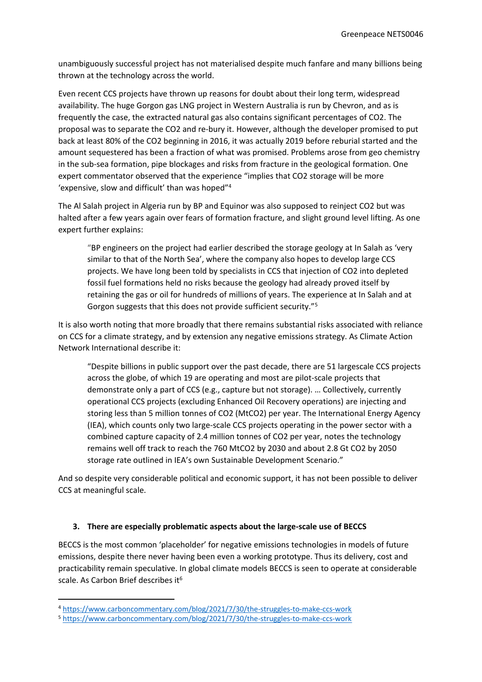unambiguously successful project has not materialised despite much fanfare and many billions being thrown at the technology across the world.

Even recent CCS projects have thrown up reasons for doubt about their long term, widespread availability. The huge Gorgon gas LNG project in Western Australia is run by Chevron, and as is frequently the case, the extracted natural gas also contains significant percentages of CO2. The proposal was to separate the CO2 and re-bury it. However, although the developer promised to put back at least 80% of the CO2 beginning in 2016, it was actually 2019 before reburial started and the amount sequestered has been a fraction of what was promised. Problems arose from geo chemistry in the sub-sea formation, pipe blockages and risks from fracture in the geological formation. One expert commentator observed that the experience "implies that CO2 storage will be more 'expensive, slow and difficult' than was hoped"<sup>4</sup>

The Al Salah project in Algeria run by BP and Equinor was also supposed to reinject CO2 but was halted after a few years again over fears of formation fracture, and slight ground level lifting. As one expert further explains:

"BP engineers on the project had earlier described the storage geology at In Salah as 'very similar to that of the North Sea', where the company also hopes to develop large CCS projects. We have long been told by specialists in CCS that injection of CO2 into depleted fossil fuel formations held no risks because the geology had already proved itself by retaining the gas or oil for hundreds of millions of years. The experience at In Salah and at Gorgon suggests that this does not provide sufficient security."<sup>5</sup>

It is also worth noting that more broadly that there remains substantial risks associated with reliance on CCS for a climate strategy, and by extension any negative emissions strategy. As Climate Action Network International describe it:

"Despite billions in public support over the past decade, there are 51 largescale CCS projects across the globe, of which 19 are operating and most are pilot-scale projects that demonstrate only a part of CCS (e.g., capture but not storage). … Collectively, currently operational CCS projects (excluding Enhanced Oil Recovery operations) are injecting and storing less than 5 million tonnes of CO2 (MtCO2) per year. The International Energy Agency (IEA), which counts only two large-scale CCS projects operating in the power sector with a combined capture capacity of 2.4 million tonnes of CO2 per year, notes the technology remains well off track to reach the 760 MtCO2 by 2030 and about 2.8 Gt CO2 by 2050 storage rate outlined in IEA's own Sustainable Development Scenario."

And so despite very considerable political and economic support, it has not been possible to deliver CCS at meaningful scale.

## **3. There are especially problematic aspects about the large-scale use of BECCS**

BECCS is the most common 'placeholder' for negative emissions technologies in models of future emissions, despite there never having been even a working prototype. Thus its delivery, cost and practicability remain speculative. In global climate models BECCS is seen to operate at considerable scale. As Carbon Brief describes it<sup>6</sup>

<sup>4</sup> <https://www.carboncommentary.com/blog/2021/7/30/the-struggles-to-make-ccs-work>

<sup>5</sup> <https://www.carboncommentary.com/blog/2021/7/30/the-struggles-to-make-ccs-work>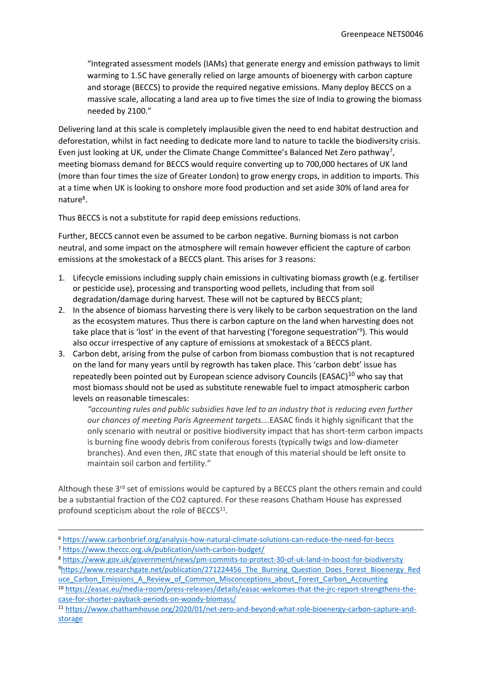"Integrated assessment models (IAMs) that generate energy and emission pathways to limit warming to 1.5C have generally relied on large amounts of [bioenergy](https://www.carbonbrief.org/beccs-the-story-of-climate-changes-saviour-technology) [with](https://www.carbonbrief.org/beccs-the-story-of-climate-changes-saviour-technology) [carbon](https://www.carbonbrief.org/beccs-the-story-of-climate-changes-saviour-technology) [capture](https://www.carbonbrief.org/beccs-the-story-of-climate-changes-saviour-technology) [and](https://www.carbonbrief.org/beccs-the-story-of-climate-changes-saviour-technology) [storage](https://www.carbonbrief.org/beccs-the-story-of-climate-changes-saviour-technology) (BECCS) to provide the required negative emissions. Many deploy BECCS on a massive scale, allocating a land area [up](https://linkinghub.elsevier.com/retrieve/pii/S0959378016303399) [to](https://linkinghub.elsevier.com/retrieve/pii/S0959378016303399) [five](https://linkinghub.elsevier.com/retrieve/pii/S0959378016303399) [times](https://linkinghub.elsevier.com/retrieve/pii/S0959378016303399) the size of India to growing the biomass needed by 2100."

Delivering land at this scale is completely implausible given the need to end habitat destruction and deforestation, whilst in fact needing to dedicate more land to nature to tackle the biodiversity crisis. Even just looking at UK, under the Climate Change Committee's Balanced Net Zero pathway<sup>7</sup>, meeting biomass demand for BECCS would require converting up to 700,000 hectares of UK land (more than four times the size of Greater London) to grow energy crops, in addition to imports. This at a time when UK is looking to onshore more food production and set aside 30% of land area for nature<sup>8</sup>.

Thus BECCS is not a substitute for rapid deep emissions reductions.

Further, BECCS cannot even be assumed to be carbon negative. Burning biomass is not carbon neutral, and some impact on the atmosphere will remain however efficient the capture of carbon emissions at the smokestack of a BECCS plant. This arises for 3 reasons:

- 1. Lifecycle emissions including supply chain emissions in cultivating biomass growth (e.g. fertiliser or pesticide use), processing and transporting wood pellets, including that from soil degradation/damage during harvest. These will not be captured by BECCS plant;
- 2. In the absence of biomass harvesting there is very likely to be carbon sequestration on the land as the ecosystem matures. Thus there is carbon capture on the land when harvesting does not take place that is 'lost' in the event of that harvesting ('foregone sequestration'<sup>9</sup>). This would also occur irrespective of any capture of emissions at smokestack of a BECCS plant.
- 3. Carbon debt, arising from the pulse of carbon from biomass combustion that is not recaptured on the land for many years until by regrowth has taken place. This 'carbon debt' issue has repeatedly been pointed out by European science advisory Councils (EASAC) $10$  who say that most biomass should not be used as substitute renewable fuel to impact atmospheric carbon levels on reasonable timescales:

*"accounting rules and public subsidies have led to an industry that is reducing even further our chances of meeting Paris Agreement targets….*EASAC finds it highly significant that the only scenario with neutral or positive biodiversity impact that has short-term carbon impacts is burning fine woody debris from coniferous forests (typically twigs and low-diameter branches). And even then, JRC state that enough of this material should be left onsite to maintain soil carbon and fertility."

Although these 3<sup>rd</sup> set of emissions would be captured by a BECCS plant the others remain and could be a substantial fraction of the CO2 captured. For these reasons Chatham House has expressed profound scepticism about the role of BECCS<sup>11</sup>.

<sup>6</sup> <https://www.carbonbrief.org/analysis-how-natural-climate-solutions-can-reduce-the-need-for-beccs> <sup>7</sup> <https://www.theccc.org.uk/publication/sixth-carbon-budget/>

<sup>8</sup> <https://www.gov.uk/government/news/pm-commits-to-protect-30-of-uk-land-in-boost-for-biodiversity> <sup>9</sup>[https://www.researchgate.net/publication/271224456\\_The\\_Burning\\_Question\\_Does\\_Forest\\_Bioenergy\\_Red](https://www.researchgate.net/publication/271224456_The_Burning_Question_Does_Forest_Bioenergy_Reduce_Carbon_Emissions_A_Review_of_Common_Misconceptions_about_Forest_Carbon_Accounting)

uce Carbon Emissions A Review of Common Misconceptions about Forest Carbon Accounting

<sup>10</sup> [https://easac.eu/media-room/press-releases/details/easac-welcomes-that-the-jrc-report-strengthens-the](https://easac.eu/media-room/press-releases/details/easac-welcomes-that-the-jrc-report-strengthens-the-case-for-shorter-payback-periods-on-woody-biomass/)[case-for-shorter-payback-periods-on-woody-biomass/](https://easac.eu/media-room/press-releases/details/easac-welcomes-that-the-jrc-report-strengthens-the-case-for-shorter-payback-periods-on-woody-biomass/)

<sup>11</sup> [https://www.chathamhouse.org/2020/01/net-zero-and-beyond-what-role-bioenergy-carbon-capture-and](https://www.chathamhouse.org/2020/01/net-zero-and-beyond-what-role-bioenergy-carbon-capture-and-storage)[storage](https://www.chathamhouse.org/2020/01/net-zero-and-beyond-what-role-bioenergy-carbon-capture-and-storage)